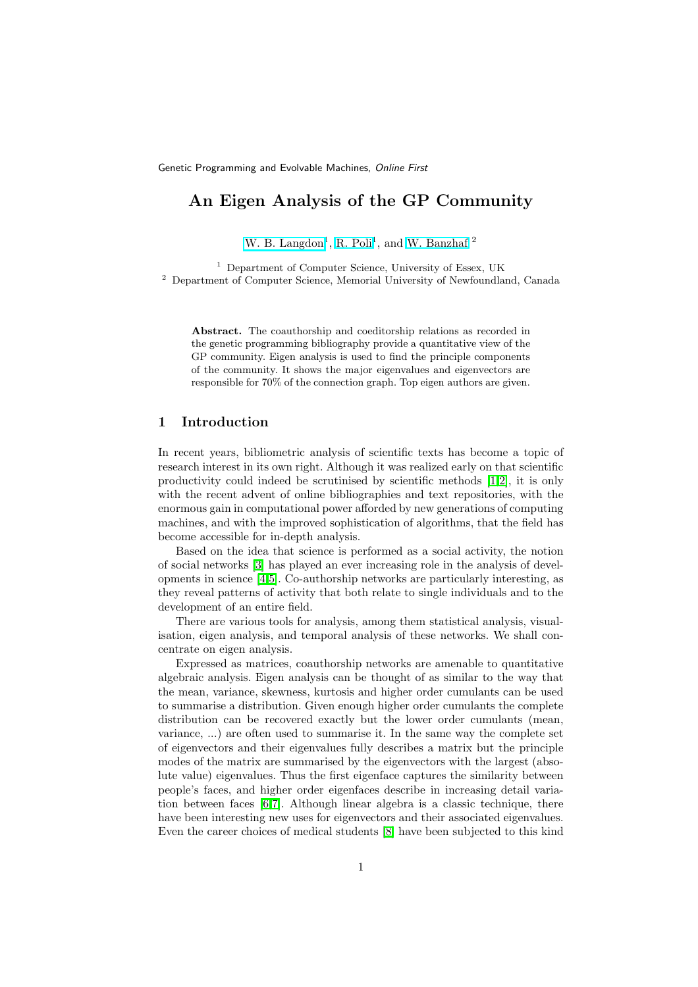# An Eigen Analysis of the GP Community

W. B. [Langdon](http://www.cs.essex.ac.uk/staff/W.Langdon/)<sup>1</sup>, R. [Poli](http://www.cs.essex.ac.uk/staff/rpoli/)<sup>1</sup>, and W. [Banzhaf](http://www.cs.mun.ca/~banzhaf/)<sup>2</sup>

<sup>1</sup> Department of Computer Science, University of Essex, UK <sup>2</sup> Department of Computer Science, Memorial University of Newfoundland, Canada

Abstract. The coauthorship and coeditorship relations as recorded in the genetic programming bibliography provide a quantitative view of the GP community. Eigen analysis is used to find the principle components of the community. It shows the major eigenvalues and eigenvectors are responsible for 70% of the connection graph. Top eigen authors are given.

#### 1 Introduction

In recent years, bibliometric analysis of scientific texts has become a topic of research interest in its own right. Although it was realized early on that scientific productivity could indeed be scrutinised by scientific methods [\[1,](#page-9-0)[2\]](#page-9-1), it is only with the recent advent of online bibliographies and text repositories, with the enormous gain in computational power afforded by new generations of computing machines, and with the improved sophistication of algorithms, that the field has become accessible for in-depth analysis.

Based on the idea that science is performed as a social activity, the notion of social networks [\[3\]](#page-9-2) has played an ever increasing role in the analysis of developments in science [\[4](#page-9-3)[,5\]](#page-9-4). Co-authorship networks are particularly interesting, as they reveal patterns of activity that both relate to single individuals and to the development of an entire field.

There are various tools for analysis, among them statistical analysis, visualisation, eigen analysis, and temporal analysis of these networks. We shall concentrate on eigen analysis.

Expressed as matrices, coauthorship networks are amenable to quantitative algebraic analysis. Eigen analysis can be thought of as similar to the way that the mean, variance, skewness, kurtosis and higher order cumulants can be used to summarise a distribution. Given enough higher order cumulants the complete distribution can be recovered exactly but the lower order cumulants (mean, variance, ...) are often used to summarise it. In the same way the complete set of eigenvectors and their eigenvalues fully describes a matrix but the principle modes of the matrix are summarised by the eigenvectors with the largest (absolute value) eigenvalues. Thus the first eigenface captures the similarity between people's faces, and higher order eigenfaces describe in increasing detail variation between faces [\[6](#page-9-5)[,7\]](#page-9-6). Although linear algebra is a classic technique, there have been interesting new uses for eigenvectors and their associated eigenvalues. Even the career choices of medical students [\[8\]](#page-9-7) have been subjected to this kind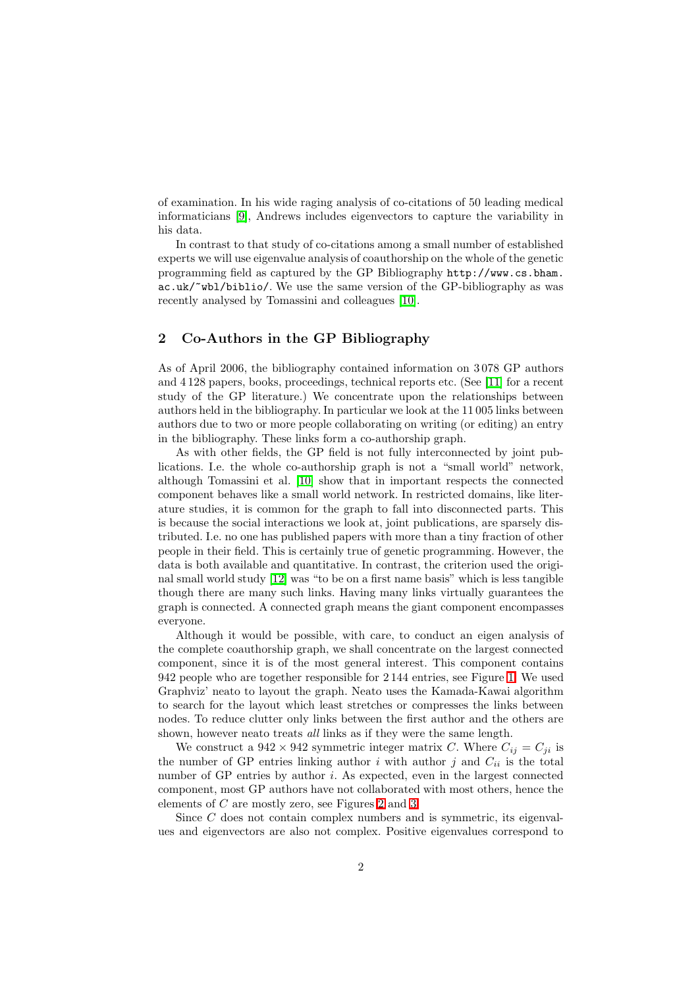of examination. In his wide raging analysis of co-citations of 50 leading medical informaticians [\[9\]](#page-9-8), Andrews includes eigenvectors to capture the variability in his data.

In contrast to that study of co-citations among a small number of established experts we will use eigenvalue analysis of coauthorship on the whole of the genetic programming field as captured by the GP Bibliography http://www.cs.bham. ac.uk/~wbl/biblio/. We use the same version of the GP-bibliography as was recently analysed by Tomassini and colleagues [\[10\]](#page-9-9).

# 2 Co-Authors in the GP Bibliography

As of April 2006, the bibliography contained information on 3 078 GP authors and 4 128 papers, books, proceedings, technical reports etc. (See [\[11\]](#page-9-10) for a recent study of the GP literature.) We concentrate upon the relationships between authors held in the bibliography. In particular we look at the 11 005 links between authors due to two or more people collaborating on writing (or editing) an entry in the bibliography. These links form a co-authorship graph.

As with other fields, the GP field is not fully interconnected by joint publications. I.e. the whole co-authorship graph is not a "small world" network, although Tomassini et al. [\[10\]](#page-9-9) show that in important respects the connected component behaves like a small world network. In restricted domains, like literature studies, it is common for the graph to fall into disconnected parts. This is because the social interactions we look at, joint publications, are sparsely distributed. I.e. no one has published papers with more than a tiny fraction of other people in their field. This is certainly true of genetic programming. However, the data is both available and quantitative. In contrast, the criterion used the original small world study [\[12\]](#page-9-11) was "to be on a first name basis" which is less tangible though there are many such links. Having many links virtually guarantees the graph is connected. A connected graph means the giant component encompasses everyone.

Although it would be possible, with care, to conduct an eigen analysis of the complete coauthorship graph, we shall concentrate on the largest connected component, since it is of the most general interest. This component contains 942 people who are together responsible for 2 144 entries, see Figure [1.](#page-2-0) We used Graphviz' neato to layout the graph. Neato uses the Kamada-Kawai algorithm to search for the layout which least stretches or compresses the links between nodes. To reduce clutter only links between the first author and the others are shown, however neato treats all links as if they were the same length.

We construct a  $942 \times 942$  symmetric integer matrix C. Where  $C_{ij} = C_{ji}$  is the number of GP entries linking author  $i$  with author  $j$  and  $C_{ii}$  is the total number of GP entries by author i. As expected, even in the largest connected component, most GP authors have not collaborated with most others, hence the elements of C are mostly zero, see Figures [2](#page-3-0) and [3.](#page-4-0)

Since C does not contain complex numbers and is symmetric, its eigenvalues and eigenvectors are also not complex. Positive eigenvalues correspond to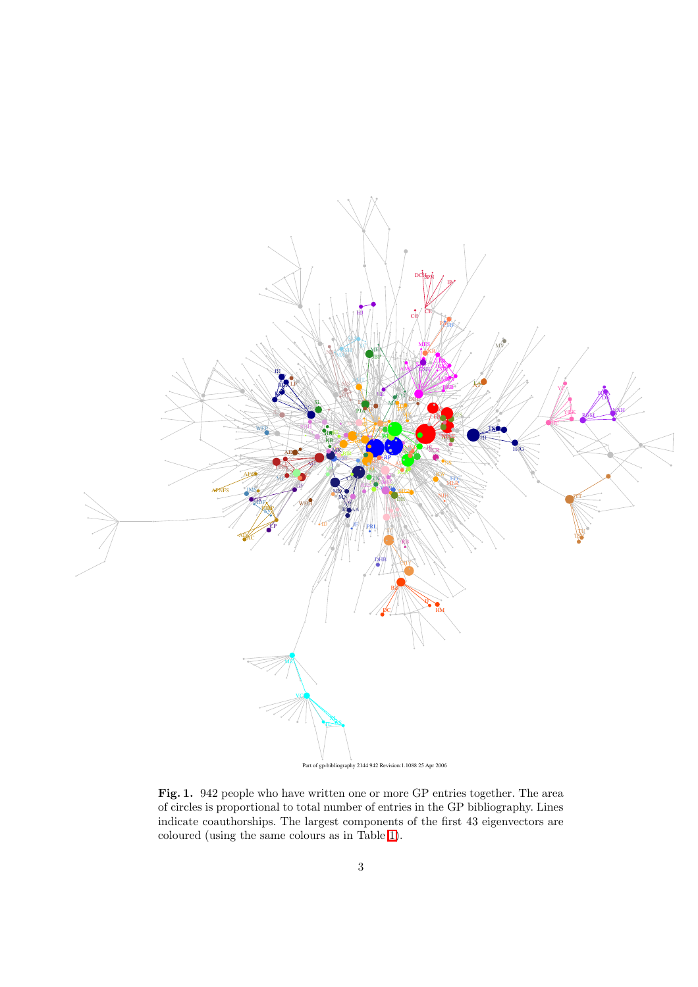

<span id="page-2-0"></span>Fig. 1. 942 people who have written one or more GP entries together. The area of circles is proportional to total number of entries in the GP bibliography. Lines indicate coauthorships. The largest components of the first 43 eigenvectors are coloured (using the same colours as in Table [1\)](#page-6-0).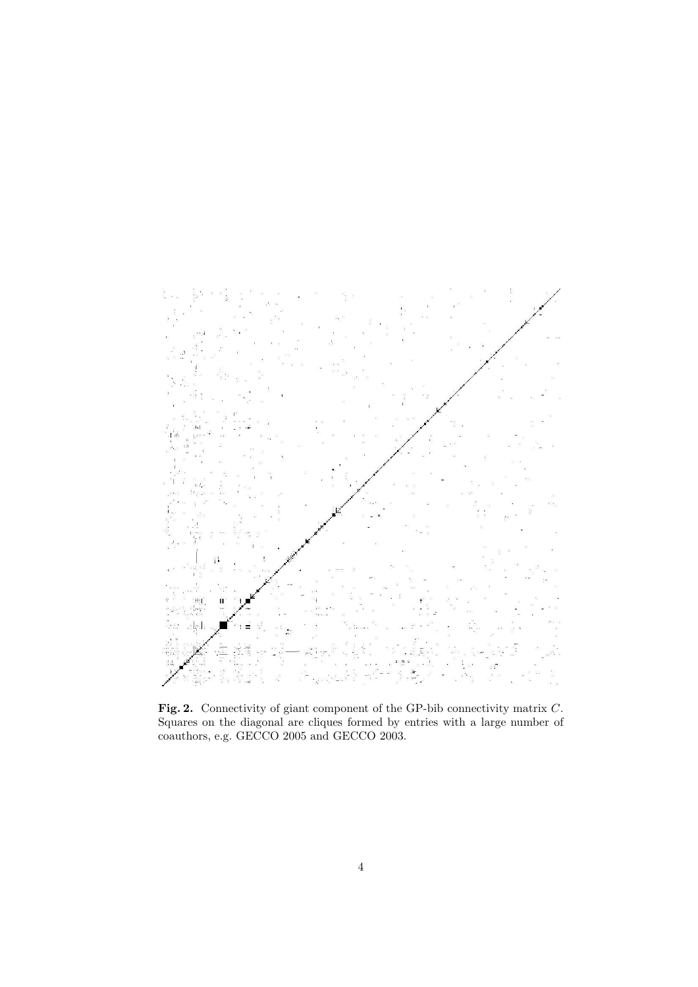

<span id="page-3-0"></span>Fig. 2. Connectivity of giant component of the GP-bib connectivity matrix C. Squares on the diagonal are cliques formed by entries with a large number of coauthors, e.g. GECCO 2005 and GECCO 2003.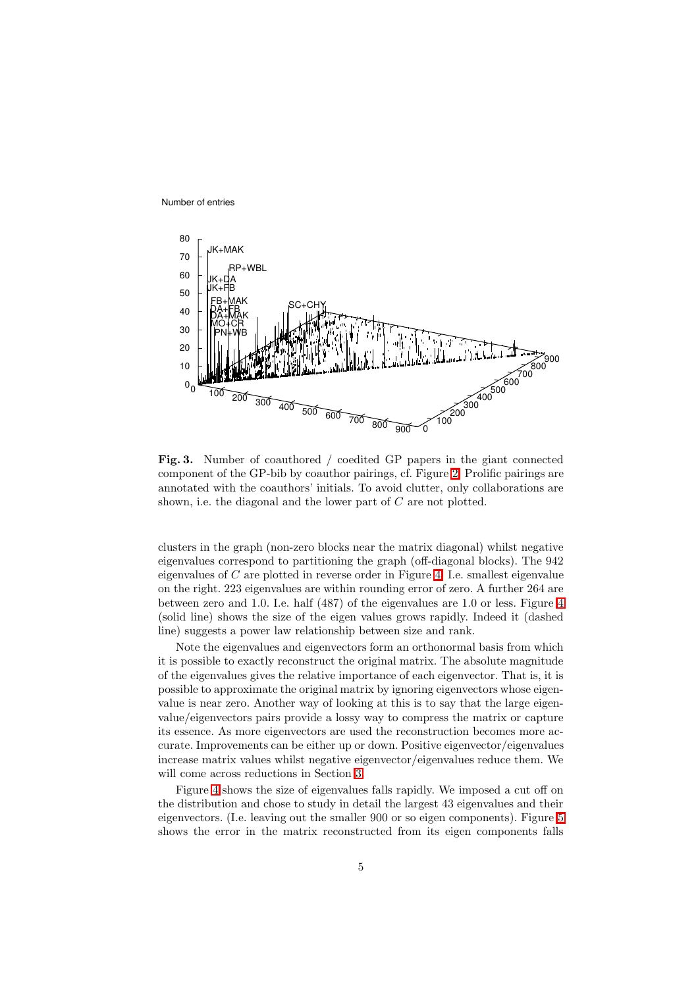Number of entries



<span id="page-4-0"></span>Fig. 3. Number of coauthored / coedited GP papers in the giant connected component of the GP-bib by coauthor pairings, cf. Figure [2.](#page-3-0) Prolific pairings are annotated with the coauthors' initials. To avoid clutter, only collaborations are shown, i.e. the diagonal and the lower part of  $C$  are not plotted.

clusters in the graph (non-zero blocks near the matrix diagonal) whilst negative eigenvalues correspond to partitioning the graph (off-diagonal blocks). The 942 eigenvalues of  $C$  are plotted in reverse order in Figure [4.](#page-5-0) I.e. smallest eigenvalue on the right. 223 eigenvalues are within rounding error of zero. A further 264 are between zero and 1.0. I.e. half (487) of the eigenvalues are 1.0 or less. Figure [4](#page-5-0) (solid line) shows the size of the eigen values grows rapidly. Indeed it (dashed line) suggests a power law relationship between size and rank.

Note the eigenvalues and eigenvectors form an orthonormal basis from which it is possible to exactly reconstruct the original matrix. The absolute magnitude of the eigenvalues gives the relative importance of each eigenvector. That is, it is possible to approximate the original matrix by ignoring eigenvectors whose eigenvalue is near zero. Another way of looking at this is to say that the large eigenvalue/eigenvectors pairs provide a lossy way to compress the matrix or capture its essence. As more eigenvectors are used the reconstruction becomes more accurate. Improvements can be either up or down. Positive eigenvector/eigenvalues increase matrix values whilst negative eigenvector/eigenvalues reduce them. We will come across reductions in Section [3.](#page-5-1)

Figure [4](#page-5-0) shows the size of eigenvalues falls rapidly. We imposed a cut off on the distribution and chose to study in detail the largest 43 eigenvalues and their eigenvectors. (I.e. leaving out the smaller 900 or so eigen components). Figure [5](#page-5-2) shows the error in the matrix reconstructed from its eigen components falls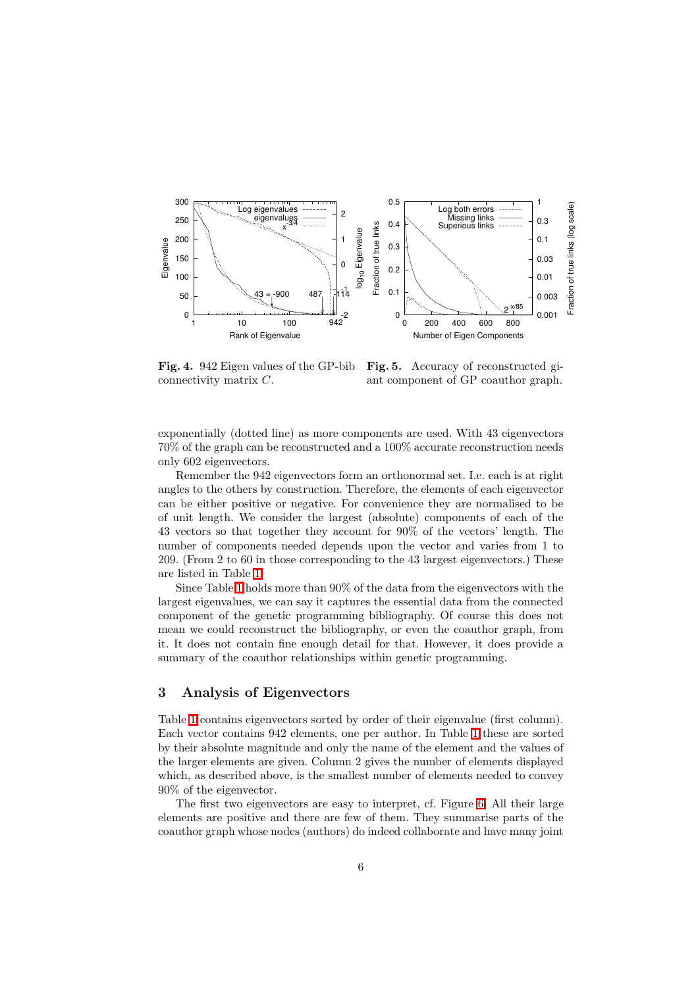

<span id="page-5-2"></span><span id="page-5-0"></span>Fig. 4. 942 Eigen values of the GP-bib Fig. 5. Accuracy of reconstructed giconnectivity matrix C. ant component of GP coauthor graph.

exponentially (dotted line) as more components are used. With 43 eigenvectors 70% of the graph can be reconstructed and a 100% accurate reconstruction needs only 602 eigenvectors.

Remember the 942 eigenvectors form an orthonormal set. I.e. each is at right angles to the others by construction. Therefore, the elements of each eigenvector can be either positive or negative. For convenience they are normalised to be of unit length. We consider the largest (absolute) components of each of the 43 vectors so that together they account for 90% of the vectors' length. The number of components needed depends upon the vector and varies from 1 to 209. (From 2 to 60 in those corresponding to the 43 largest eigenvectors.) These are listed in Table [1.](#page-6-0)

Since Table [1](#page-6-0) holds more than 90% of the data from the eigenvectors with the largest eigenvalues, we can say it captures the essential data from the connected component of the genetic programming bibliography. Of course this does not mean we could reconstruct the bibliography, or even the coauthor graph, from it. It does not contain fine enough detail for that. However, it does provide a summary of the coauthor relationships within genetic programming.

## <span id="page-5-1"></span>3 Analysis of Eigenvectors

Table [1](#page-6-0) contains eigenvectors sorted by order of their eigenvalue (first column). Each vector contains 942 elements, one per author. In Table [1](#page-6-0) these are sorted by their absolute magnitude and only the name of the element and the values of the larger elements are given. Column 2 gives the number of elements displayed which, as described above, is the smallest number of elements needed to convey 90% of the eigenvector.

The first two eigenvectors are easy to interpret, cf. Figure [6.](#page-7-0) All their large elements are positive and there are few of them. They summarise parts of the coauthor graph whose nodes (authors) do indeed collaborate and have many joint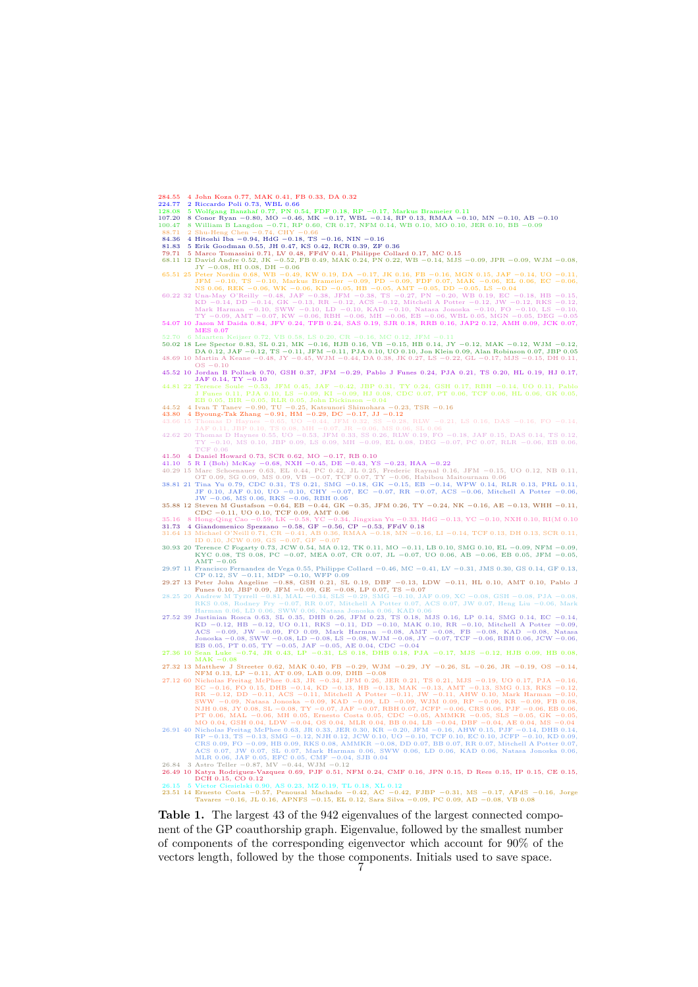- 
- 
- 284.55 4 John Koza 0.77, MAK 0.41, FB 0.33, DA 0.32<br>224.57 2 Riccardo Poli 0.73, WBL 0.66<br>128.08 5 Wolfgang Banzhaf 0.77, PN 0.54, FDF 0.18, RP -0.17, Markus Brameier 0.11<br>107.20 8 Conor Ryan -0.80, MO -0.46, MK -0.17, WBL
- 
- 
- 
- 
- 84.36 4 Hitoshi Iba 0.94, HdG 0.18, TS 0.16, NIN 0.16<br>
81.83 5 Erik Goodman 0.55, JH 0.47, KS 0.42, RCR 0.39, ZF 0.36<br>
79.71 5 Marco Tomassini 0.71, LV 0.48, FFdV 0.41, Philippe Collard 0.17, MC 0.15<br>
68.11
- 
- 65.51 25 Peter Nordin 0.68, WB −0.49, KW 0.19, DA −0.17, JK 0.16, FB −0.16, MGN 0.15, JAF −0.14, UO −0.11, JFM −0.10, TS −0.10, Markus Brameier −0.09, PD −0.09, FDF 0.07, MAK −0.06, EL 0.06, EC −0.06, NS 0.06, REK −0.06, WK −0.06, KD −0.05, HB −0.05, AMT −0.05, DD −0.05, LS −0.04 60.22 32 Una-May O'Reilly −0.48, JAF −0.38, JFM −0.38, TS −0.27, PN −0.20, WB 0.19, EC −0.18, HB −0.15, KD −0.14, DD −0.14, GK −0.13, RR −0.12, ACS −0.12, Mitchell A Potter −0.12, JW −0.12, RKS −0.12, Mark Harman −0.10, SWW −0.10, LD −0.10, KAD −0.10, Natasa Jonoska −0.10, FO −0.10, LS −0.10, TY −0.09, AMT −0.07, KW −0.06, RBH −0.06, MH −0.06, EB −0.06, WBL 0.05, MGN −0.05, DEG −0.05 54.07 10 Jason M Daida 0.84, JFV 0.24, TFB 0.24, SAS 0.19, SJR 0.18, RRB 0.16, JAP2 0.12, AMH 0.09, JCK 0.07, MES 0.07
- 
- 52.70 6 Maarten Keijzer 0.72, VB 0.58, LS 0.20, CR  $-0.16$ , MC 0.12, JFM  $-0.11$ , JFM  $-0.12$ , MAK  $-0.12$ , DS 0.21 8 Lee Spector 0.83, SL 0.21, MK  $-0.16$ , HJB 0.16, VB  $-0.15$ , HB 0.14, JY  $-0.12$ , MAK  $-0.12$ , DA 0.12,
- 45.52 10 Jordan B Pollack 0.70, GSH 0.37, JFM −0.29, Pablo J Funes 0.24, PJA 0.21, TS 0.20, HL 0.19, HJ 0.17,
- **14.81 22 Terence Soule -0.53**, JFM 0.45, JAF -0.42, JBP 0.31, TY 0.24, GSH 0.17, RBH -0.14, UO 0.11, Pablo<br>
J Funes 0.11, PJA 0.10, LS -0.09, KI -0.09, HJ 0.08, CDC 0.07, PT 0.06, TCF 0.06, HL 0.06, GK 0.05,<br>
EB 0.05, BI
- 
- 
- 42.62 20 Thomas D Haynes 0.55, UO −0.53, JFM 0.33, SS 0.26, RLW 0.19, FO −0.18, JAF 0.15, DAS 0.14, TS 0.12, TY −0.10, MS 0.10, JBP 0.09, LS 0.09, MH −0.09, EL 0.08, DEG −0.07, PC 0.07, RLR −0.06, EB 0.06,
- 
- 
- 41.50 4 Daniel Howard 0.73, SCR 0.62, MO  $-0.17$ , RB 0.10<br>41.10 5 R I (Bob) McKay  $-0.68$ , NXH  $-0.45$ , DE  $-0.43$ , YS  $-0.23$ , HAA  $-0.22$ <br>40.29 15 Marc Schenauer 0.63, EL 0.44, PC 0.42, JL 0.25, Frederic Raynal 0.16, JF
- 

- 
- 35.16 & Hong-Qing Cao -0.59, LK -0.58, YC -0.34, Jingxian Yu -0.33, HdG -0.13, YC -0.10, NXH 0.10, RI(M 0.10<br>31.73 4 Giandomenico Spezzano -0.58, GF -0.56, CP -0.54, GFN 0.18<br>31.64 13 Michael O'Neill 0.71, CR -0.41, AB 0.
- 
- AMT -0.05<br>29.97 11 Francisco Fernandez de Vega 0.55, Philippe Collard -0.46, MC -0.41, LV -0.31, JMS 0.30, GS 0.14, GF 0.13,<br>29.27 13 Peter John Angeline -0.88, GSH 0.21, SV -0.11, MDP -0.10, WFP 0.09<br>29.27 13 Peter John A
- 28.25 20 Andrew M Tyrrell −0.81, MAL −0.34, SLS −0.29, SMG −0.10, JAF 0.09, XC −0.08, GSH −0.08, PJA −0.08, RKS 0.08, Rodney Fry −0.07, RR 0.07, Mitchell A Potter 0.07, ACS 0.07, JW 0.07, Heng Liu −0.06, Mark
- Harman 0.06, LD 0.06, SW 0.06, Natasa Jonoska 0.06, KAD 0.06, KAD 0.06, NAS 0.16, LP 0.14, SMG 0.14, EC -0.14,<br>
27.52 39 Justinian Rosca 0.63, SL 0.35, DHB 0.26, JFM 0.23, TS 0.18, MJS 0.16, LP 0.14, SMG 0.14, EC -0.14,<br>
- 
- 
- 27.32 13 Matthew J Streeter 0.62, MAK 0.40, FB -0.29, W -0.29, JY -0.26, SL -0.26, JR -0.19, OS -0.14,<br>
27.12 60 Nicholas Freitag McPhee 0.43, JR -0.34, JFM 0.26, JER 0.21, TS 0.21, MJS -0.19, UO 0.17, PJA -0.16,<br>
EC -0.1
- 
- 
- 23.51 14 Ernesto Costa −0.57, Penousal Machado −0.42, AC −0.42, FJBP −0.31, MS −0.17, AFdS −0.16, Jorge Tavares −0.16, JL 0.16, APNFS −0.15, EL 0.12, Sara Silva −0.09, PC 0.09, AD −0.08, VB 0.08

<span id="page-6-0"></span>Table 1. The largest 43 of the 942 eigenvalues of the largest connected component of the GP coauthorship graph. Eigenvalue, followed by the smallest number of components of the corresponding eigenvector which account for 90% of the vectors length, followed by the those components. Initials used to save space.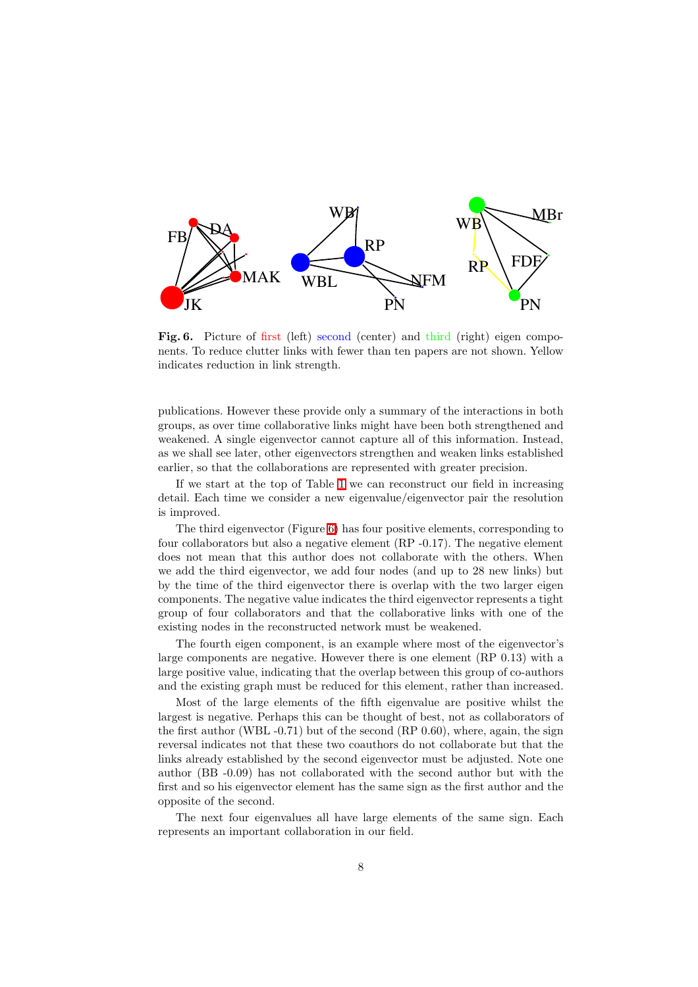

<span id="page-7-0"></span>Fig. 6. Picture of first (left) second (center) and third (right) eigen components. To reduce clutter links with fewer than ten papers are not shown. Yellow indicates reduction in link strength.

publications. However these provide only a summary of the interactions in both groups, as over time collaborative links might have been both strengthened and weakened. A single eigenvector cannot capture all of this information. Instead, as we shall see later, other eigenvectors strengthen and weaken links established earlier, so that the collaborations are represented with greater precision.

If we start at the top of Table [1](#page-6-0) we can reconstruct our field in increasing detail. Each time we consider a new eigenvalue/eigenvector pair the resolution is improved.

The third eigenvector (Figure [6\)](#page-7-0) has four positive elements, corresponding to four collaborators but also a negative element  $(RP - 0.17)$ . The negative element does not mean that this author does not collaborate with the others. When we add the third eigenvector, we add four nodes (and up to 28 new links) but by the time of the third eigenvector there is overlap with the two larger eigen components. The negative value indicates the third eigenvector represents a tight group of four collaborators and that the collaborative links with one of the existing nodes in the reconstructed network must be weakened.

The fourth eigen component, is an example where most of the eigenvector's large components are negative. However there is one element (RP 0.13) with a large positive value, indicating that the overlap between this group of co-authors and the existing graph must be reduced for this element, rather than increased.

Most of the large elements of the fifth eigenvalue are positive whilst the largest is negative. Perhaps this can be thought of best, not as collaborators of the first author (WBL  $-0.71$ ) but of the second (RP  $0.60$ ), where, again, the sign reversal indicates not that these two coauthors do not collaborate but that the links already established by the second eigenvector must be adjusted. Note one author (BB -0.09) has not collaborated with the second author but with the first and so his eigenvector element has the same sign as the first author and the opposite of the second.

The next four eigenvalues all have large elements of the same sign. Each represents an important collaboration in our field.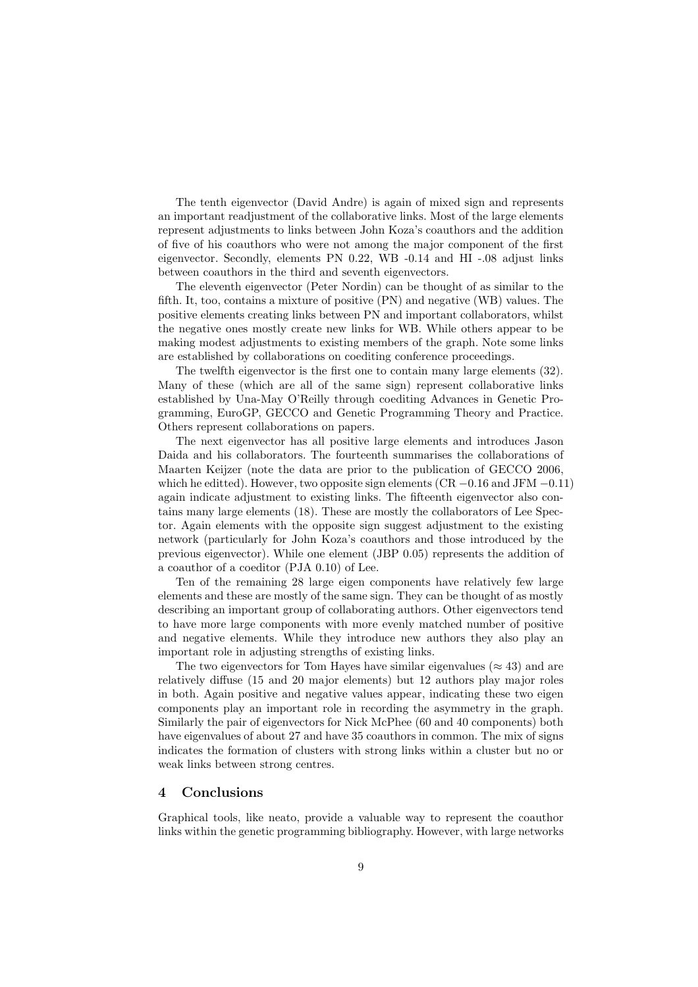The tenth eigenvector (David Andre) is again of mixed sign and represents an important readjustment of the collaborative links. Most of the large elements represent adjustments to links between John Koza's coauthors and the addition of five of his coauthors who were not among the major component of the first eigenvector. Secondly, elements PN 0.22, WB -0.14 and HI -.08 adjust links between coauthors in the third and seventh eigenvectors.

The eleventh eigenvector (Peter Nordin) can be thought of as similar to the fifth. It, too, contains a mixture of positive (PN) and negative (WB) values. The positive elements creating links between PN and important collaborators, whilst the negative ones mostly create new links for WB. While others appear to be making modest adjustments to existing members of the graph. Note some links are established by collaborations on coediting conference proceedings.

The twelfth eigenvector is the first one to contain many large elements (32). Many of these (which are all of the same sign) represent collaborative links established by Una-May O'Reilly through coediting Advances in Genetic Programming, EuroGP, GECCO and Genetic Programming Theory and Practice. Others represent collaborations on papers.

The next eigenvector has all positive large elements and introduces Jason Daida and his collaborators. The fourteenth summarises the collaborations of Maarten Keijzer (note the data are prior to the publication of GECCO 2006, which he editted). However, two opposite sign elements ( $CR -0.16$  and JFM  $-0.11$ ) again indicate adjustment to existing links. The fifteenth eigenvector also contains many large elements (18). These are mostly the collaborators of Lee Spector. Again elements with the opposite sign suggest adjustment to the existing network (particularly for John Koza's coauthors and those introduced by the previous eigenvector). While one element (JBP 0.05) represents the addition of a coauthor of a coeditor (PJA 0.10) of Lee.

Ten of the remaining 28 large eigen components have relatively few large elements and these are mostly of the same sign. They can be thought of as mostly describing an important group of collaborating authors. Other eigenvectors tend to have more large components with more evenly matched number of positive and negative elements. While they introduce new authors they also play an important role in adjusting strengths of existing links.

The two eigenvectors for Tom Hayes have similar eigenvalues ( $\approx 43$ ) and are relatively diffuse (15 and 20 major elements) but 12 authors play major roles in both. Again positive and negative values appear, indicating these two eigen components play an important role in recording the asymmetry in the graph. Similarly the pair of eigenvectors for Nick McPhee (60 and 40 components) both have eigenvalues of about 27 and have 35 coauthors in common. The mix of signs indicates the formation of clusters with strong links within a cluster but no or weak links between strong centres.

## 4 Conclusions

Graphical tools, like neato, provide a valuable way to represent the coauthor links within the genetic programming bibliography. However, with large networks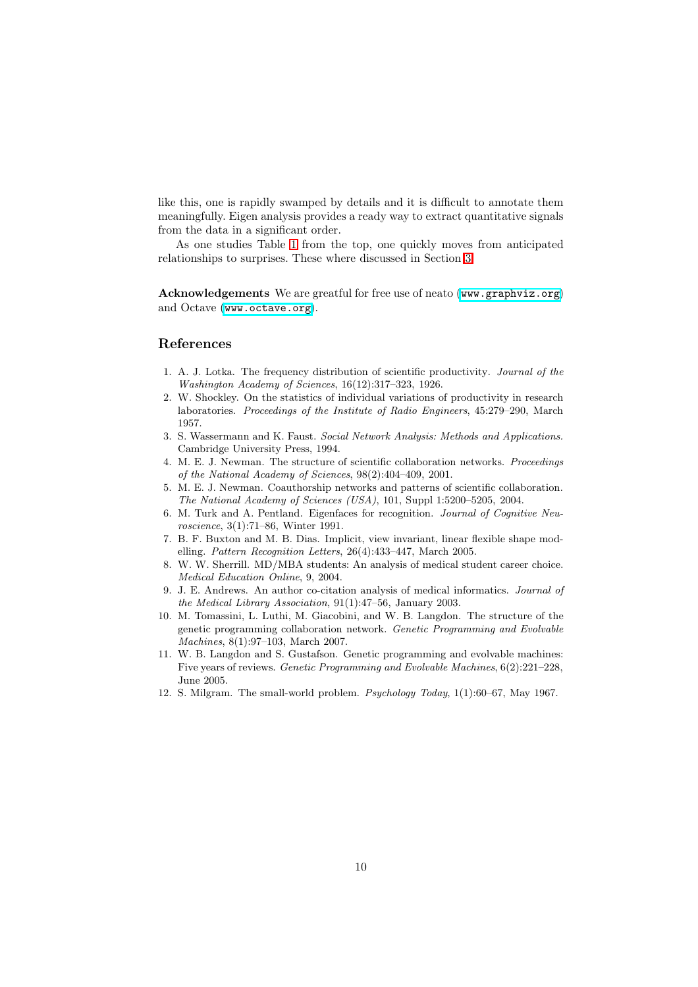like this, one is rapidly swamped by details and it is difficult to annotate them meaningfully. Eigen analysis provides a ready way to extract quantitative signals from the data in a significant order.

As one studies Table [1](#page-6-0) from the top, one quickly moves from anticipated relationships to surprises. These where discussed in Section [3.](#page-5-1)

Acknowledgements We are greatful for free use of neato ([www.graphviz.org](file:www.graphviz.org)) and Octave ([www.octave.org](file:www.octave.org)).

#### <span id="page-9-0"></span>References

- 1. A. J. Lotka. The frequency distribution of scientific productivity. Journal of the Washington Academy of Sciences, 16(12):317–323, 1926.
- <span id="page-9-1"></span>2. W. Shockley. On the statistics of individual variations of productivity in research laboratories. Proceedings of the Institute of Radio Engineers, 45:279–290, March 1957.
- <span id="page-9-2"></span>3. S. Wassermann and K. Faust. Social Network Analysis: Methods and Applications. Cambridge University Press, 1994.
- <span id="page-9-3"></span>4. M. E. J. Newman. The structure of scientific collaboration networks. Proceedings of the National Academy of Sciences, 98(2):404–409, 2001.
- <span id="page-9-4"></span>5. M. E. J. Newman. Coauthorship networks and patterns of scientific collaboration. The National Academy of Sciences (USA), 101, Suppl 1:5200–5205, 2004.
- <span id="page-9-5"></span>6. M. Turk and A. Pentland. Eigenfaces for recognition. Journal of Cognitive Neuroscience, 3(1):71–86, Winter 1991.
- <span id="page-9-6"></span>7. B. F. Buxton and M. B. Dias. Implicit, view invariant, linear flexible shape modelling. Pattern Recognition Letters, 26(4):433–447, March 2005.
- <span id="page-9-7"></span>8. W. W. Sherrill. MD/MBA students: An analysis of medical student career choice. Medical Education Online, 9, 2004.
- <span id="page-9-8"></span>9. J. E. Andrews. An author co-citation analysis of medical informatics. Journal of the Medical Library Association, 91(1):47–56, January 2003.
- <span id="page-9-9"></span>10. M. Tomassini, L. Luthi, M. Giacobini, and W. B. Langdon. The structure of the genetic programming collaboration network. Genetic Programming and Evolvable Machines, 8(1):97–103, March 2007.
- <span id="page-9-10"></span>11. W. B. Langdon and S. Gustafson. Genetic programming and evolvable machines: Five years of reviews. Genetic Programming and Evolvable Machines, 6(2):221–228, June 2005.
- <span id="page-9-11"></span>12. S. Milgram. The small-world problem. Psychology Today, 1(1):60–67, May 1967.